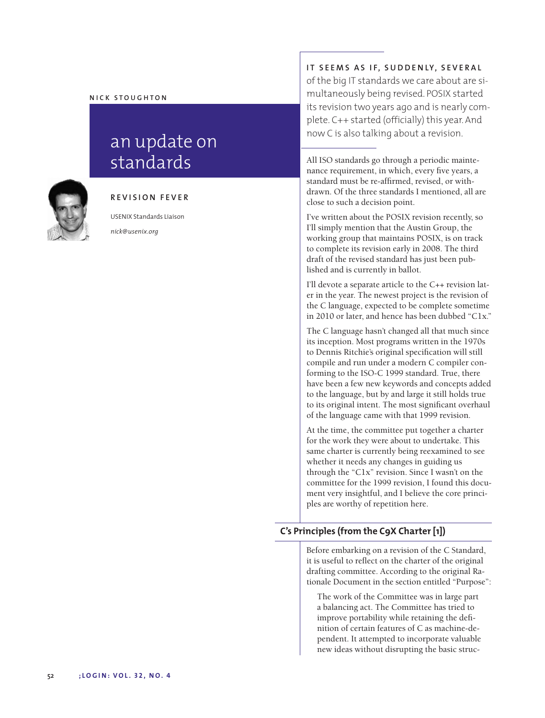#### **N I C K S T O U G H T O N**

# an update on standards



### **R E V I S I O N F E V E R**

USENIX Standards Liaison *nick@usenix.org*

## IT SEEMS AS IF, SUDDENLY, SEVERAL

of the big IT standards we care about are simultaneously being revised. POSIX started its revision two years ago and is nearly complete. C++ started (officially) this year. And now C is also talking about a revision.

All ISO standards go through a periodic maintenance requirement, in which, every five years, a standard must be re-affirmed, revised, or withdrawn. Of the three standards I mentioned, all are close to such a decision point.

I've written about the POSIX revision recently, so I'll simply mention that the Austin Group, the working group that maintains POSIX, is on track to complete its revision early in 2008. The third draft of the revised standard has just been published and is currently in ballot.

I'll devote a separate article to the C++ revision later in the year. The newest project is the revision of the C language, expected to be complete sometime in 2010 or later, and hence has been dubbed "C1x."

The C language hasn't changed all that much since its inception. Most programs written in the 1970s to Dennis Ritchie's original specification will still compile and run under a modern C compiler conforming to the ISO-C 1999 standard. True, there have been a few new keywords and concepts added to the language, but by and large it still holds true to its original intent. The most significant overhaul of the language came with that 1999 revision.

At the time, the committee put together a charter for the work they were about to undertake. This same charter is currently being reexamined to see whether it needs any changes in guiding us through the "C1x" revision. Since I wasn't on the committee for the 1999 revision, I found this document very insightful, and I believe the core principles are worthy of repetition here.

## **C's Principles (from the C9X Charter [1])**

Before embarking on a revision of the C Standard, it is useful to reflect on the charter of the original drafting committee. According to the original Rationale Document in the section entitled "Purpose":

The work of the Committee was in large part a balancing act. The Committee has tried to improve portability while retaining the definition of certain features of C as machine-dependent. It attempted to incorporate valuable new ideas without disrupting the basic struc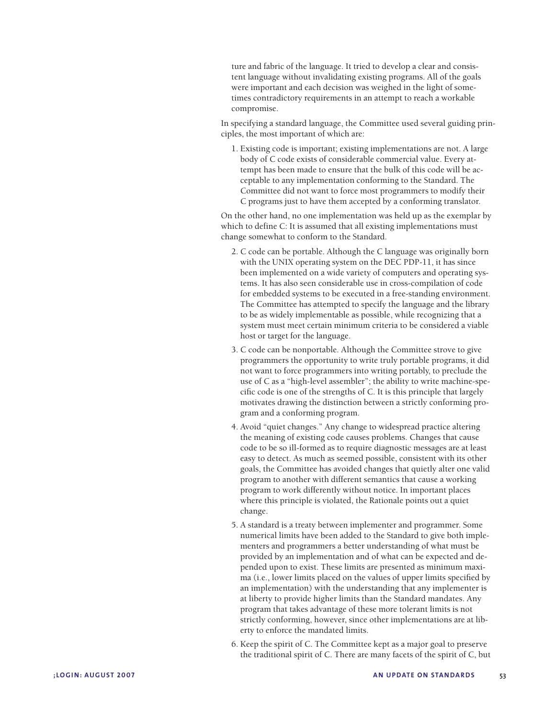ture and fabric of the language. It tried to develop a clear and consistent language without invalidating existing programs. All of the goals were important and each decision was weighed in the light of sometimes contradictory requirements in an attempt to reach a workable compromise.

In specifying a standard language, the Committee used several guiding principles, the most important of which are:

1. Existing code is important; existing implementations are not. A large body of C code exists of considerable commercial value. Every attempt has been made to ensure that the bulk of this code will be acceptable to any implementation conforming to the Standard. The Committee did not want to force most programmers to modify their C programs just to have them accepted by a conforming translator.

On the other hand, no one implementation was held up as the exemplar by which to define C: It is assumed that all existing implementations must change somewhat to conform to the Standard.

- 2. C code can be portable. Although the C language was originally born with the UNIX operating system on the DEC PDP-11, it has since been implemented on a wide variety of computers and operating systems. It has also seen considerable use in cross-compilation of code for embedded systems to be executed in a free-standing environment. The Committee has attempted to specify the language and the library to be as widely implementable as possible, while recognizing that a system must meet certain minimum criteria to be considered a viable host or target for the language.
- 3. C code can be nonportable. Although the Committee strove to give programmers the opportunity to write truly portable programs, it did not want to force programmers into writing portably, to preclude the use of C as a "high-level assembler"; the ability to write machine-specific code is one of the strengths of C. It is this principle that largely motivates drawing the distinction between a strictly conforming program and a conforming program.
- 4. Avoid "quiet changes." Any change to widespread practice altering the meaning of existing code causes problems. Changes that cause code to be so ill-formed as to require diagnostic messages are at least easy to detect. As much as seemed possible, consistent with its other goals, the Committee has avoided changes that quietly alter one valid program to another with different semantics that cause a working program to work differently without notice. In important places where this principle is violated, the Rationale points out a quiet change.
- 5. A standard is a treaty between implementer and programmer. Some numerical limits have been added to the Standard to give both implementers and programmers a better understanding of what must be provided by an implementation and of what can be expected and depended upon to exist. These limits are presented as minimum maxima (i.e., lower limits placed on the values of upper limits specified by an implementation) with the understanding that any implementer is at liberty to provide higher limits than the Standard mandates. Any program that takes advantage of these more tolerant limits is not strictly conforming, however, since other implementations are at liberty to enforce the mandated limits.
- 6. Keep the spirit of C. The Committee kept as a major goal to preserve the traditional spirit of C. There are many facets of the spirit of C, but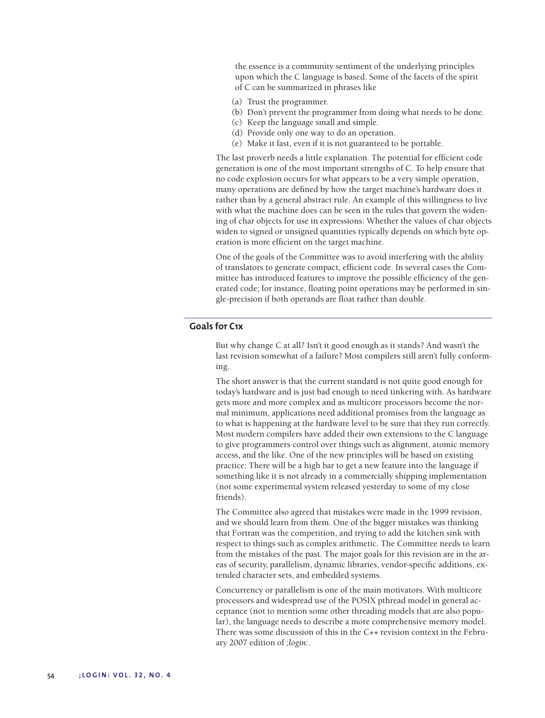the essence is a community sentiment of the underlying principles upon which the C language is based. Some of the facets of the spirit of C can be summarized in phrases like

- (a) Trust the programmer.
- (b) Don't prevent the programmer from doing what needs to be done.
- (c) Keep the language small and simple.
- (d) Provide only one way to do an operation.
- (e) Make it fast, even if it is not guaranteed to be portable.

The last proverb needs a little explanation. The potential for efficient code generation is one of the most important strengths of C. To help ensure that no code explosion occurs for what appears to be a very simple operation, many operations are defined by how the target machine's hardware does it rather than by a general abstract rule. An example of this willingness to live with what the machine does can be seen in the rules that govern the widening of char objects for use in expressions: Whether the values of char objects widen to signed or unsigned quantities typically depends on which byte operation is more efficient on the target machine.

One of the goals of the Committee was to avoid interfering with the ability of translators to generate compact, efficient code. In several cases the Committee has introduced features to improve the possible efficiency of the generated code; for instance, floating point operations may be performed in single-precision if both operands are float rather than double.

## **Goals for C1x**

But why change C at all? Isn't it good enough as it stands? And wasn't the last revision somewhat of a failure? Most compilers still aren't fully conforming.

The short answer is that the current standard is not quite good enough for today's hardware and is just bad enough to need tinkering with. As hardware gets more and more complex and as multicore processors become the normal minimum, applications need additional promises from the language as to what is happening at the hardware level to be sure that they run correctly. Most modern compilers have added their own extensions to the C language to give programmers control over things such as alignment, atomic memory access, and the like. One of the new principles will be based on existing practice: There will be a high bar to get a new feature into the language if something like it is not already in a commercially shipping implementation (not some experimental system released yesterday to some of my close friends).

The Committee also agreed that mistakes were made in the 1999 revision, and we should learn from them. One of the bigger mistakes was thinking that Fortran was the competition, and trying to add the kitchen sink with respect to things such as complex arithmetic. The Committee needs to learn from the mistakes of the past. The major goals for this revision are in the areas of security, parallelism, dynamic libraries, vendor-specific additions, extended character sets, and embedded systems.

Concurrency or parallelism is one of the main motivators. With multicore processors and widespread use of the POSIX pthread model in general acceptance (not to mention some other threading models that are also popular), the language needs to describe a more comprehensive memory model. There was some discussion of this in the C++ revision context in the February 2007 edition of *;login:*.